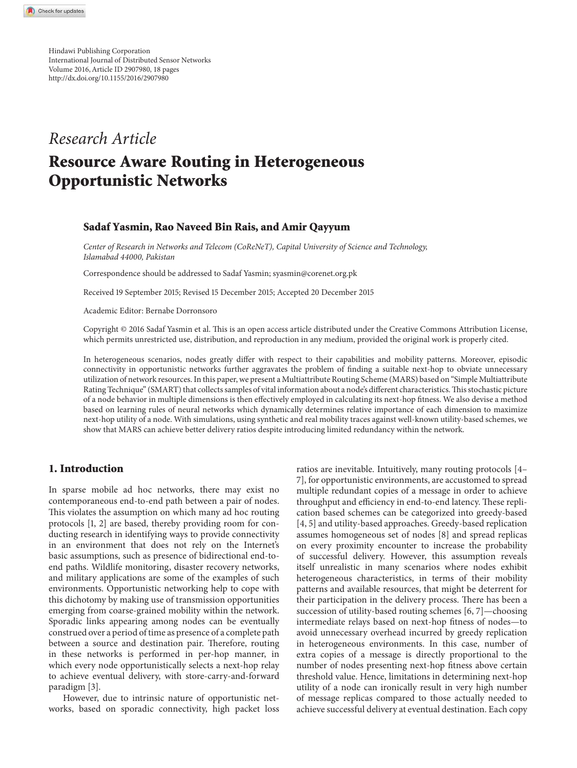Hindawi Publishing Corporation International Journal of Distributed Sensor Networks Volume 2016, Article ID 2907980, 18 pages http://dx.doi.org/10.1155/2016/2907980

## Research Article

# Resource Aware Routing in Heterogeneous Opportunistic Networks

## Sadaf Yasmin, Rao Naveed Bin Rais, and Amir Qayyum

Center of Research in Networks and Telecom (CoReNeT), Capital University of Science and Technology, Islamabad 44000, Pakistan

Correspondence should be addressed to Sadaf Yasmin; syasmin@corenet.org.pk

Received 19 September 2015; Revised 15 December 2015; Accepted 20 December 2015

Academic Editor: Bernabe Dorronsoro

Copyright © 2016 Sadaf Yasmin et al. This is an open access article distributed under the Creative Commons Attribution License, which permits unrestricted use, distribution, and reproduction in any medium, provided the original work is properly cited.

In heterogeneous scenarios, nodes greatly differ with respect to their capabilities and mobility patterns. Moreover, episodic connectivity in opportunistic networks further aggravates the problem of finding a suitable next-hop to obviate unnecessary utilization of network resources. In this paper, we present a Multiattribute Routing Scheme (MARS) based on "Simple Multiattribute Rating Technique" (SMART) that collects samples of vital information about a node's different characteristics.This stochastic picture of a node behavior in multiple dimensions is then effectively employed in calculating its next-hop fitness. We also devise a method based on learning rules of neural networks which dynamically determines relative importance of each dimension to maximize next-hop utility of a node. With simulations, using synthetic and real mobility traces against well-known utility-based schemes, we show that MARS can achieve better delivery ratios despite introducing limited redundancy within the network.

## 1. Introduction

In sparse mobile ad hoc networks, there may exist no contemporaneous end-to-end path between a pair of nodes. This violates the assumption on which many ad hoc routing protocols [1, 2] are based, thereby providing room for conducting research in identifying ways to provide connectivity in an environment that does not rely on the Internet's basic assumptions, such as presence of bidirectional end-toend paths. Wildlife monitoring, disaster recovery networks, and military applications are some of the examples of such environments. Opportunistic networking help to cope with this dichotomy by making use of transmission opportunities emerging from coarse-grained mobility within the network. Sporadic links appearing among nodes can be eventually construed over a period of time as presence of a complete path between a source and destination pair. Therefore, routing in these networks is performed in per-hop manner, in which every node opportunistically selects a next-hop relay to achieve eventual delivery, with store-carry-and-forward paradigm [3].

However, due to intrinsic nature of opportunistic networks, based on sporadic connectivity, high packet loss ratios are inevitable. Intuitively, many routing protocols [4– 7], for opportunistic environments, are accustomed to spread multiple redundant copies of a message in order to achieve throughput and efficiency in end-to-end latency. These replication based schemes can be categorized into greedy-based [4, 5] and utility-based approaches. Greedy-based replication assumes homogeneous set of nodes [8] and spread replicas on every proximity encounter to increase the probability of successful delivery. However, this assumption reveals itself unrealistic in many scenarios where nodes exhibit heterogeneous characteristics, in terms of their mobility patterns and available resources, that might be deterrent for their participation in the delivery process. There has been a succession of utility-based routing schemes [6, 7]—choosing intermediate relays based on next-hop fitness of nodes—to avoid unnecessary overhead incurred by greedy replication in heterogeneous environments. In this case, number of extra copies of a message is directly proportional to the number of nodes presenting next-hop fitness above certain threshold value. Hence, limitations in determining next-hop utility of a node can ironically result in very high number of message replicas compared to those actually needed to achieve successful delivery at eventual destination. Each copy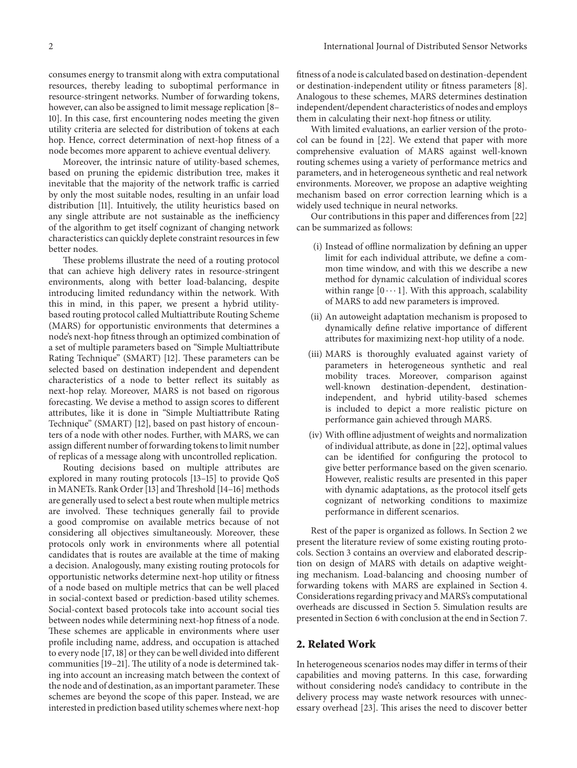consumes energy to transmit along with extra computational resources, thereby leading to suboptimal performance in resource-stringent networks. Number of forwarding tokens, however, can also be assigned to limit message replication [8– 10]. In this case, first encountering nodes meeting the given utility criteria are selected for distribution of tokens at each hop. Hence, correct determination of next-hop fitness of a node becomes more apparent to achieve eventual delivery.

Moreover, the intrinsic nature of utility-based schemes, based on pruning the epidemic distribution tree, makes it inevitable that the majority of the network traffic is carried by only the most suitable nodes, resulting in an unfair load distribution [11]. Intuitively, the utility heuristics based on any single attribute are not sustainable as the inefficiency of the algorithm to get itself cognizant of changing network characteristics can quickly deplete constraint resources in few better nodes.

These problems illustrate the need of a routing protocol that can achieve high delivery rates in resource-stringent environments, along with better load-balancing, despite introducing limited redundancy within the network. With this in mind, in this paper, we present a hybrid utilitybased routing protocol called Multiattribute Routing Scheme (MARS) for opportunistic environments that determines a node's next-hop fitness through an optimized combination of a set of multiple parameters based on "Simple Multiattribute Rating Technique" (SMART) [12]. These parameters can be selected based on destination independent and dependent characteristics of a node to better reflect its suitably as next-hop relay. Moreover, MARS is not based on rigorous forecasting. We devise a method to assign scores to different attributes, like it is done in "Simple Multiattribute Rating Technique" (SMART) [12], based on past history of encounters of a node with other nodes. Further, with MARS, we can assign different number of forwarding tokens to limit number of replicas of a message along with uncontrolled replication.

Routing decisions based on multiple attributes are explored in many routing protocols [13–15] to provide QoS in MANETs. Rank Order [13] and Threshold [14-16] methods are generally used to select a best route when multiple metrics are involved. These techniques generally fail to provide a good compromise on available metrics because of not considering all objectives simultaneously. Moreover, these protocols only work in environments where all potential candidates that is routes are available at the time of making a decision. Analogously, many existing routing protocols for opportunistic networks determine next-hop utility or fitness of a node based on multiple metrics that can be well placed in social-context based or prediction-based utility schemes. Social-context based protocols take into account social ties between nodes while determining next-hop fitness of a node. These schemes are applicable in environments where user profile including name, address, and occupation is attached to every node [17, 18] or they can be well divided into different communities [19–21]. The utility of a node is determined taking into account an increasing match between the context of the node and of destination, as an important parameter. These schemes are beyond the scope of this paper. Instead, we are interested in prediction based utility schemes where next-hop

fitness of a node is calculated based on destination-dependent or destination-independent utility or fitness parameters [8]. Analogous to these schemes, MARS determines destination independent/dependent characteristics of nodes and employs them in calculating their next-hop fitness or utility.

With limited evaluations, an earlier version of the protocol can be found in [22]. We extend that paper with more comprehensive evaluation of MARS against well-known routing schemes using a variety of performance metrics and parameters, and in heterogeneous synthetic and real network environments. Moreover, we propose an adaptive weighting mechanism based on error correction learning which is a widely used technique in neural networks.

Our contributions in this paper and differences from [22] can be summarized as follows:

- (i) Instead of offline normalization by defining an upper limit for each individual attribute, we define a common time window, and with this we describe a new method for dynamic calculation of individual scores within range  $[0 \cdots 1]$ . With this approach, scalability of MARS to add new parameters is improved.
- (ii) An autoweight adaptation mechanism is proposed to dynamically define relative importance of different attributes for maximizing next-hop utility of a node.
- (iii) MARS is thoroughly evaluated against variety of parameters in heterogeneous synthetic and real mobility traces. Moreover, comparison against well-known destination-dependent, destinationindependent, and hybrid utility-based schemes is included to depict a more realistic picture on performance gain achieved through MARS.
- (iv) With offline adjustment of weights and normalization of individual attribute, as done in [22], optimal values can be identified for configuring the protocol to give better performance based on the given scenario. However, realistic results are presented in this paper with dynamic adaptations, as the protocol itself gets cognizant of networking conditions to maximize performance in different scenarios.

Rest of the paper is organized as follows. In Section 2 we present the literature review of some existing routing protocols. Section 3 contains an overview and elaborated description on design of MARS with details on adaptive weighting mechanism. Load-balancing and choosing number of forwarding tokens with MARS are explained in Section 4. Considerations regarding privacy and MARS's computational overheads are discussed in Section 5. Simulation results are presented in Section 6 with conclusion at the end in Section 7.

#### 2. Related Work

In heterogeneous scenarios nodes may differ in terms of their capabilities and moving patterns. In this case, forwarding without considering node's candidacy to contribute in the delivery process may waste network resources with unnecessary overhead [23]. This arises the need to discover better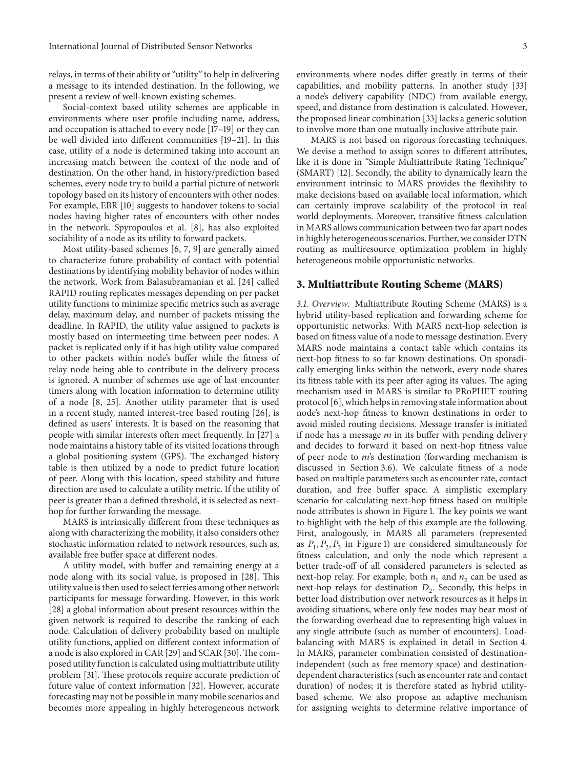relays, in terms of their ability or "utility" to help in delivering a message to its intended destination. In the following, we present a review of well-known existing schemes.

Social-context based utility schemes are applicable in environments where user profile including name, address, and occupation is attached to every node [17–19] or they can be well divided into different communities [19–21]. In this case, utility of a node is determined taking into account an increasing match between the context of the node and of destination. On the other hand, in history/prediction based schemes, every node try to build a partial picture of network topology based on its history of encounters with other nodes. For example, EBR [10] suggests to handover tokens to social nodes having higher rates of encounters with other nodes in the network. Spyropoulos et al. [8], has also exploited sociability of a node as its utility to forward packets.

Most utility-based schemes [6, 7, 9] are generally aimed to characterize future probability of contact with potential destinations by identifying mobility behavior of nodes within the network. Work from Balasubramanian et al. [24] called RAPID routing replicates messages depending on per packet utility functions to minimize specific metrics such as average delay, maximum delay, and number of packets missing the deadline. In RAPID, the utility value assigned to packets is mostly based on intermeeting time between peer nodes. A packet is replicated only if it has high utility value compared to other packets within node's buffer while the fitness of relay node being able to contribute in the delivery process is ignored. A number of schemes use age of last encounter timers along with location information to determine utility of a node [8, 25]. Another utility parameter that is used in a recent study, named interest-tree based routing [26], is defined as users' interests. It is based on the reasoning that people with similar interests often meet frequently. In [27] a node maintains a history table of its visited locations through a global positioning system (GPS). The exchanged history table is then utilized by a node to predict future location of peer. Along with this location, speed stability and future direction are used to calculate a utility metric. If the utility of peer is greater than a defined threshold, it is selected as nexthop for further forwarding the message.

MARS is intrinsically different from these techniques as along with characterizing the mobility, it also considers other stochastic information related to network resources, such as, available free buffer space at different nodes.

A utility model, with buffer and remaining energy at a node along with its social value, is proposed in [28]. This utility value is then used to select ferries among other network participants for message forwarding. However, in this work [28] a global information about present resources within the given network is required to describe the ranking of each node. Calculation of delivery probability based on multiple utility functions, applied on different context information of a node is also explored in CAR [29] and SCAR [30].The composed utility function is calculated using multiattribute utility problem [31]. These protocols require accurate prediction of future value of context information [32]. However, accurate forecasting may not be possible in many mobile scenarios and becomes more appealing in highly heterogeneous network environments where nodes differ greatly in terms of their capabilities, and mobility patterns. In another study [33] a node's delivery capability (NDC) from available energy, speed, and distance from destination is calculated. However, the proposed linear combination [33] lacks a generic solution to involve more than one mutually inclusive attribute pair.

MARS is not based on rigorous forecasting techniques. We devise a method to assign scores to different attributes, like it is done in "Simple Multiattribute Rating Technique" (SMART) [12]. Secondly, the ability to dynamically learn the environment intrinsic to MARS provides the flexibility to make decisions based on available local information, which can certainly improve scalability of the protocol in real world deployments. Moreover, transitive fitness calculation in MARS allows communication between two far apart nodes in highly heterogeneous scenarios. Further, we consider DTN routing as multiresource optimization problem in highly heterogeneous mobile opportunistic networks.

## 3. Multiattribute Routing Scheme (MARS)

3.1. Overview. Multiattribute Routing Scheme (MARS) is a hybrid utility-based replication and forwarding scheme for opportunistic networks. With MARS next-hop selection is based on fitness value of a node to message destination. Every MARS node maintains a contact table which contains its next-hop fitness to so far known destinations. On sporadically emerging links within the network, every node shares its fitness table with its peer after aging its values. The aging mechanism used in MARS is similar to PRoPHET routing protocol [6], which helps in removing stale information about node's next-hop fitness to known destinations in order to avoid misled routing decisions. Message transfer is initiated if node has a message  $m$  in its buffer with pending delivery and decides to forward it based on next-hop fitness value of peer node to  $m$ 's destination (forwarding mechanism is discussed in Section 3.6). We calculate fitness of a node based on multiple parameters such as encounter rate, contact duration, and free buffer space. A simplistic exemplary scenario for calculating next-hop fitness based on multiple node attributes is shown in Figure 1. The key points we want to highlight with the help of this example are the following. First, analogously, in MARS all parameters (represented as  $P_1$ ,  $P_2$ ,  $P_3$  in Figure 1) are considered simultaneously for fitness calculation, and only the node which represent a better trade-off of all considered parameters is selected as next-hop relay. For example, both  $n_1$  and  $n_2$  can be used as next-hop relays for destination  $D_2$ . Secondly, this helps in better load distribution over network resources as it helps in avoiding situations, where only few nodes may bear most of the forwarding overhead due to representing high values in any single attribute (such as number of encounters). Loadbalancing with MARS is explained in detail in Section 4. In MARS, parameter combination consisted of destinationindependent (such as free memory space) and destinationdependent characteristics (such as encounter rate and contact duration) of nodes; it is therefore stated as hybrid utilitybased scheme. We also propose an adaptive mechanism for assigning weights to determine relative importance of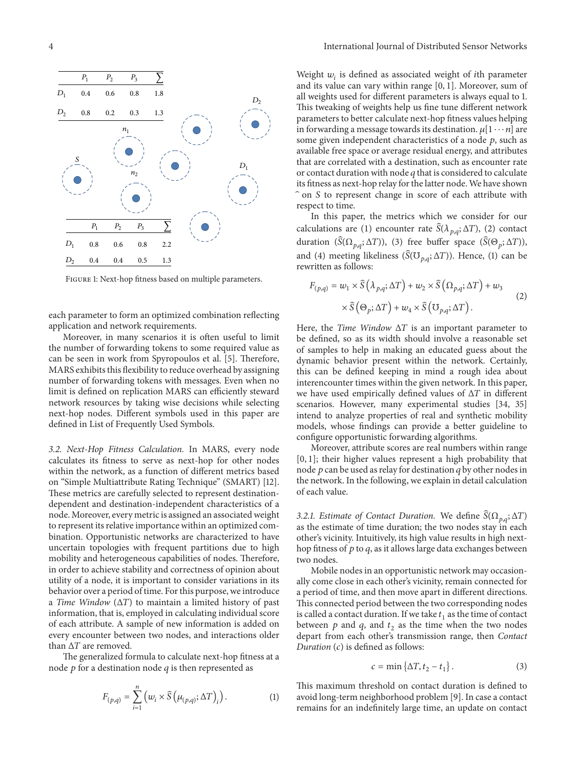

Figure 1: Next-hop fitness based on multiple parameters.

each parameter to form an optimized combination reflecting application and network requirements.

Moreover, in many scenarios it is often useful to limit the number of forwarding tokens to some required value as can be seen in work from Spyropoulos et al. [5]. Therefore, MARS exhibits this flexibility to reduce overhead by assigning number of forwarding tokens with messages. Even when no limit is defined on replication MARS can efficiently steward network resources by taking wise decisions while selecting next-hop nodes. Different symbols used in this paper are defined in List of Frequently Used Symbols.

3.2. Next-Hop Fitness Calculation. In MARS, every node calculates its fitness to serve as next-hop for other nodes within the network, as a function of different metrics based on "Simple Multiattribute Rating Technique" (SMART) [12]. These metrics are carefully selected to represent destinationdependent and destination-independent characteristics of a node. Moreover, every metric is assigned an associated weight to represent its relative importance within an optimized combination. Opportunistic networks are characterized to have uncertain topologies with frequent partitions due to high mobility and heterogeneous capabilities of nodes. Therefore, in order to achieve stability and correctness of opinion about utility of a node, it is important to consider variations in its behavior over a period of time. For this purpose, we introduce a Time Window  $(\Delta T)$  to maintain a limited history of past information, that is, employed in calculating individual score of each attribute. A sample of new information is added on every encounter between two nodes, and interactions older than  $\Delta T$  are removed.

The generalized formula to calculate next-hop fitness at a node  $p$  for a destination node  $q$  is then represented as

$$
F_{(p,q)} = \sum_{i=1}^{n} \left( w_i \times \widehat{S} \left( \mu_{(p,q)}; \Delta T \right)_i \right).
$$
 (1)

Weight  $w_i$  is defined as associated weight of *i*th parameter and its value can vary within range [0, 1]. Moreover, sum of all weights used for different parameters is always equal to 1. This tweaking of weights help us fine tune different network parameters to better calculate next-hop fitness values helping in forwarding a message towards its destination.  $\mu[1 \cdots n]$  are some given independent characteristics of a node  $p$ , such as available free space or average residual energy, and attributes that are correlated with a destination, such as encounter rate or contact duration with node  $q$  that is considered to calculate its fitness as next-hop relay for the latter node. We have shown on *S* to represent change in score of each attribute with respect to time.

In this paper, the metrics which we consider for our calculations are (1) encounter rate  $\widehat{S}(\lambda_{p,q}; \Delta T)$ , (2) contact duration  $(\widehat{S}(\Omega_{p,q}; \Delta T))$ , (3) free buffer space  $(\widehat{S}(\Theta_p; \Delta T))$ , and (4) meeting likeliness ( $\widehat{S}(U_{p,q};\Delta T)$ ). Hence, (1) can be rewritten as follows:

$$
F_{(p,q)} = w_1 \times \hat{S}(\lambda_{p,q}; \Delta T) + w_2 \times \hat{S}(\Omega_{p,q}; \Delta T) + w_3
$$
  
 
$$
\times \hat{S}(\Theta_p; \Delta T) + w_4 \times \hat{S}(\Theta_{p,q}; \Delta T).
$$
 (2)

Here, the Time Window  $\Delta T$  is an important parameter to be defined, so as its width should involve a reasonable set of samples to help in making an educated guess about the dynamic behavior present within the network. Certainly, this can be defined keeping in mind a rough idea about interencounter times within the given network. In this paper, we have used empirically defined values of  $\Delta T$  in different scenarios. However, many experimental studies [34, 35] intend to analyze properties of real and synthetic mobility models, whose findings can provide a better guideline to configure opportunistic forwarding algorithms.

Moreover, attribute scores are real numbers within range [0, 1]; their higher values represent a high probability that node  $p$  can be used as relay for destination  $q$  by other nodes in the network. In the following, we explain in detail calculation of each value.

3.2.1. Estimate of Contact Duration. We define  $\widehat{S}(\Omega_{p,q}; \Delta T)$ as the estimate of time duration; the two nodes stay in each other's vicinity. Intuitively, its high value results in high nexthop fitness of  $p$  to  $q$ , as it allows large data exchanges between two nodes.

Mobile nodes in an opportunistic network may occasionally come close in each other's vicinity, remain connected for a period of time, and then move apart in different directions. This connected period between the two corresponding nodes is called a contact duration. If we take  $t_1$  as the time of contact between  $p$  and  $q$ , and  $t_2$  as the time when the two nodes depart from each other's transmission range, then Contact Duration  $(c)$  is defined as follows:

$$
c = \min\left\{\Delta T, t_2 - t_1\right\}.
$$
 (3)

This maximum threshold on contact duration is defined to avoid long-term neighborhood problem [9]. In case a contact remains for an indefinitely large time, an update on contact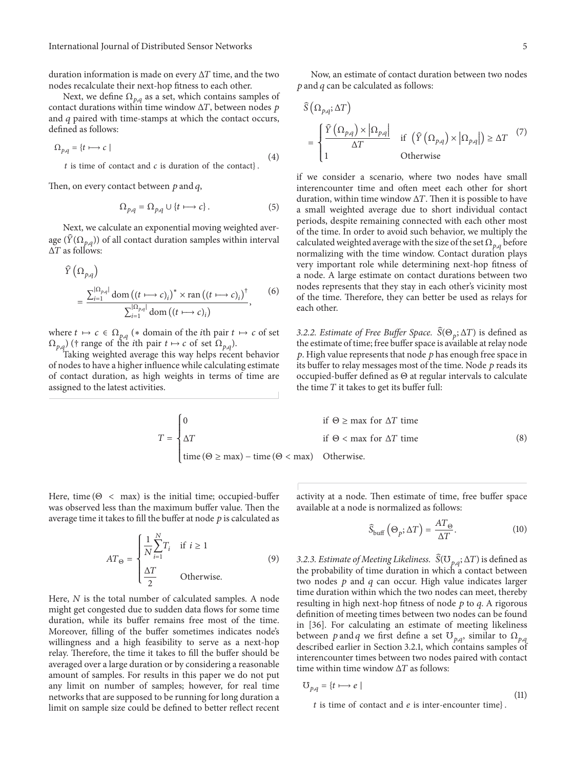duration information is made on every  $\Delta T$  time, and the two nodes recalculate their next-hop fitness to each other.

$$
\Omega_{p,q} = \{t \longmapsto c \mid (4)
$$

 $t$  is time of contact and  $c$  is duration of the contact}.

Then, on every contact between  $p$  and  $q$ ,

$$
\Omega_{p,q} = \Omega_{p,q} \cup \{t \longmapsto c\}.
$$
 (5)

Next, we calculate an exponential moving weighted average  $(\widehat{Y}(\Omega_{p,q}))$  of all contact duration samples within interval  $\Delta T$  as follows:

$$
\widehat{Y}\left(\Omega_{p,q}\right)
$$
\n
$$
= \frac{\sum_{i=1}^{\left|\Omega_{p,q}\right|} \text{dom}\left((t \longmapsto c)_{i}\right)^{*} \times \text{ran}\left((t \longmapsto c)_{i}\right)^{\dagger}}{\sum_{i=1}^{\left|\Omega_{p,q}\right|} \text{dom}\left((t \longmapsto c)_{i}\right)},
$$
\n(6)

where  $t \mapsto c \in \Omega_{p,q}$  (\* domain of the *i*th pair  $t \mapsto c$  of set  $\Omega_{p,q}$ ) († range of the *i*th pair  $t \mapsto c$  of set  $\Omega_{p,q}$ ).

Taking weighted average this way helps recent behavior of nodes to have a higher influence while calculating estimate of contact duration, as high weights in terms of time are assigned to the latest activities.

$$
T = \begin{cases} 0 & \text{if } \Theta \ge \max \text{ for } \\ \Delta T & \text{if } \Theta < \max \text{ for } \\ \text{time } (\Theta \ge \max) - \text{time } (\Theta < \max) & \text{Otherwise.} \end{cases}
$$

Now, an estimate of contact duration between two nodes  $p$  and  $q$  can be calculated as follows:

$$
\hat{S}(\Omega_{p,q}; \Delta T)
$$
\n
$$
= \begin{cases}\n\frac{\hat{Y}(\Omega_{p,q}) \times |\Omega_{p,q}|}{\Delta T} & \text{if } (\hat{Y}(\Omega_{p,q}) \times |\Omega_{p,q}|) \ge \Delta T\n\end{cases}
$$
\n
$$
(7)
$$
\nOtherwise

if we consider a scenario, where two nodes have small interencounter time and often meet each other for short duration, within time window  $\Delta T$ . Then it is possible to have a small weighted average due to short individual contact periods, despite remaining connected with each other most of the time. In order to avoid such behavior, we multiply the calculated weighted average with the size of the set  $\Omega_{p,q}$  before normalizing with the time window. Contact duration plays very important role while determining next-hop fitness of a node. A large estimate on contact durations between two nodes represents that they stay in each other's vicinity most of the time. Therefore, they can better be used as relays for each other.

3.2.2. Estimate of Free Buffer Space.  $\widehat{S}(\Theta_p;\Delta T)$  is defined as the estimate of time; free buffer space is available at relay node *. High value represents that node*  $*p*$  *has enough free space in* its buffer to relay messages most of the time. Node  $p$  reads its occupied-buffer defined as Θ at regular intervals to calculate the time  $T$  it takes to get its buffer full:

0 if 
$$
\Theta \ge \max
$$
 for  $\Delta T$  time  
\n $\Delta T$  if  $\Theta < \max$  for  $\Delta T$  time  
\ntime ( $\Theta \ge \max$ ) – time ( $\Theta < \max$ ) Otherwise. (8)

Here, time ( $\Theta$  < max) is the initial time; occupied-buffer was observed less than the maximum buffer value. Then the average time it takes to fill the buffer at node  $p$  is calculated as

$$
AT_{\Theta} = \begin{cases} \frac{1}{N} \sum_{i=1}^{N} T_i & \text{if } i \ge 1\\ \frac{\Delta T}{2} & \text{Otherwise.} \end{cases}
$$
(9)

Here,  $N$  is the total number of calculated samples. A node might get congested due to sudden data flows for some time duration, while its buffer remains free most of the time. Moreover, filling of the buffer sometimes indicates node's willingness and a high feasibility to serve as a next-hop relay. Therefore, the time it takes to fill the buffer should be averaged over a large duration or by considering a reasonable amount of samples. For results in this paper we do not put any limit on number of samples; however, for real time networks that are supposed to be running for long duration a limit on sample size could be defined to better reflect recent activity at a node. Then estimate of time, free buffer space available at a node is normalized as follows:

$$
\widehat{S}_{\text{buff}}\left(\Theta_p;\Delta T\right) = \frac{AT_\Theta}{\Delta T}.\tag{10}
$$

3.2.3. Estimate of Meeting Likeliness.  $\widehat{S}(\mho_{p,q};\Delta T)$  is defined as the probability of time duration in which a contact between two nodes  $p$  and  $q$  can occur. High value indicates larger time duration within which the two nodes can meet, thereby resulting in high next-hop fitness of node  $p$  to  $q$ . A rigorous definition of meeting times between two nodes can be found in [36]. For calculating an estimate of meeting likeliness between *p* and *q* we first define a set  $\mathcal{O}_{p,q}$ , similar to  $\Omega_{p,q}$ described earlier in Section 3.2.1, which contains samples of interencounter times between two nodes paired with contact time within time window  $\Delta T$  as follows:

$$
\mathcal{O}_{p,q} = \{t \longmapsto e \mid (11)
$$

 $t$  is time of contact and  $e$  is inter-encounter time}.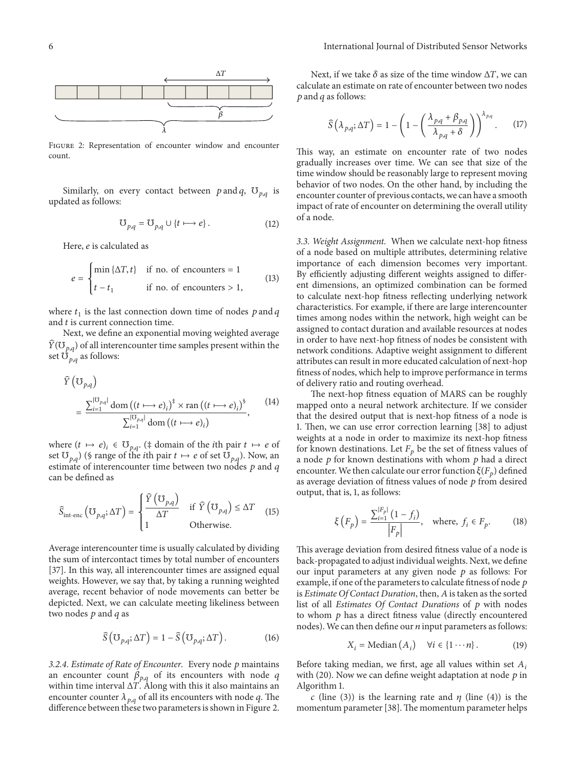

Figure 2: Representation of encounter window and encounter count.

Similarly, on every contact between  $p$  and  $q$ ,  $U_{p,q}$  is updated as follows:

$$
\mathcal{O}_{p,q} = \mathcal{O}_{p,q} \cup \{t \longmapsto e\}.
$$
 (12)

Here,  $e$  is calculated as

$$
e = \begin{cases} \min{\{\Delta T, t\}} & \text{if no. of encounters = 1} \\ t - t_1 & \text{if no. of encounters > 1,} \end{cases}
$$
(13)

where  $t_1$  is the last connection down time of nodes  $p$  and  $q$ and  $t$  is current connection time.

Next, we define an exponential moving weighted average  $\widehat{Y}(\mathbb{U}_{p,q})$  of all interencounter time samples present within the set  $\overline{\mathfrak{O}}_{p,q}^{\mathfrak{O}}$  as follows:

$$
\widehat{Y}\left(\mathbf{U}_{p,q}\right)
$$
\n
$$
= \frac{\sum_{i=1}^{|\mathbf{U}_{p,q}|} \operatorname{dom}\left((t \longmapsto e)_i\right)^{\dagger} \times \operatorname{ran}\left((t \longmapsto e)_i\right)^{\dagger}}{\sum_{i=1}^{|\mathbf{U}_{p,q}|} \operatorname{dom}\left((t \longmapsto e)_i\right)},\tag{14}
$$

where  $(t \mapsto e)_i \in U_{p,q}$ . (‡ domain of the *i*th pair  $t \mapsto e$  of set  $\mathcal{U}_{p,q}$ ) (§ range of the *i*th pair  $t \mapsto e$  of set  $\mathcal{U}_{p,q}$ ). Now, an estimate of interencounter time between two nodes  $p$  and  $q$ can be defined as

$$
\widehat{S}_{\text{int-enc}}\left(\mathbf{U}_{p,q};\Delta T\right) = \begin{cases} \frac{\widehat{Y}\left(\mathbf{U}_{p,q}\right)}{\Delta T} & \text{if } \widehat{Y}\left(\mathbf{U}_{p,q}\right) \leq \Delta T\\ 1 & \text{Otherwise.} \end{cases}
$$
(15)

Average interencounter time is usually calculated by dividing the sum of intercontact times by total number of encounters [37]. In this way, all interencounter times are assigned equal weights. However, we say that, by taking a running weighted average, recent behavior of node movements can better be depicted. Next, we can calculate meeting likeliness between two nodes  $p$  and  $q$  as

$$
\widehat{S}\left(\mathbf{U}_{p,q};\Delta T\right) = 1 - \widehat{S}\left(\mathbf{U}_{p,q};\Delta T\right). \tag{16}
$$

3.2.4. Estimate of Rate of Encounter. Every node  $p$  maintains an encounter count  $\beta_{p,q}$  of its encounters with node q within time interval  $\Delta T$ . Along with this it also maintains an encounter counter  $\lambda_{p,q}$  of all its encounters with node q. The difference between these two parameters is shown in Figure 2.

Next, if we take  $\delta$  as size of the time window  $\Delta T$ , we can calculate an estimate on rate of encounter between two nodes  $p$  and  $q$  as follows:

$$
\widehat{S}(\lambda_{p,q}; \Delta T) = 1 - \left(1 - \left(\frac{\lambda_{p,q} + \beta_{p,q}}{\lambda_{p,q} + \delta}\right)\right)^{\lambda_{p,q}}.\tag{17}
$$

This way, an estimate on encounter rate of two nodes gradually increases over time. We can see that size of the time window should be reasonably large to represent moving behavior of two nodes. On the other hand, by including the encounter counter of previous contacts, we can have a smooth impact of rate of encounter on determining the overall utility of a node.

3.3. Weight Assignment. When we calculate next-hop fitness of a node based on multiple attributes, determining relative importance of each dimension becomes very important. By efficiently adjusting different weights assigned to different dimensions, an optimized combination can be formed to calculate next-hop fitness reflecting underlying network characteristics. For example, if there are large interencounter times among nodes within the network, high weight can be assigned to contact duration and available resources at nodes in order to have next-hop fitness of nodes be consistent with network conditions. Adaptive weight assignment to different attributes can result in more educated calculation of next-hop fitness of nodes, which help to improve performance in terms of delivery ratio and routing overhead.

The next-hop fitness equation of MARS can be roughly mapped onto a neural network architecture. If we consider that the desired output that is next-hop fitness of a node is 1. Then, we can use error correction learning [38] to adjust weights at a node in order to maximize its next-hop fitness for known destinations. Let  $F_p$  be the set of fitness values of a node  $p$  for known destinations with whom  $p$  had a direct encounter. We then calculate our error function  $\xi(F_p)$  defined as average deviation of fitness values of node  $p$  from desired output, that is, 1, as follows:

$$
\xi\left(F_p\right) = \frac{\sum_{i=1}^{|F_p|} \left(1 - f_i\right)}{|F_p|}, \quad \text{where, } f_i \in F_p. \tag{18}
$$

This average deviation from desired fitness value of a node is back-propagated to adjust individual weights. Next, we define our input parameters at any given node  $p$  as follows: For example, if one of the parameters to calculate fitness of node  $p$ is Estimate Of Contact Duration, then, A is taken as the sorted list of all Estimates Of Contact Durations of  $p$  with nodes to whom  $p$  has a direct fitness value (directly encountered nodes). We can then define our  $n$  input parameters as follows:

$$
X_i = \text{Median}\begin{pmatrix} A_i \end{pmatrix} \quad \forall i \in \{1 \cdots n\} \,.
$$
 (19)

Before taking median, we first, age all values within set  $A_i$ with (20). Now we can define weight adaptation at node  $p$  in Algorithm 1.

c (line (3)) is the learning rate and  $\eta$  (line (4)) is the momentum parameter [38]. The momentum parameter helps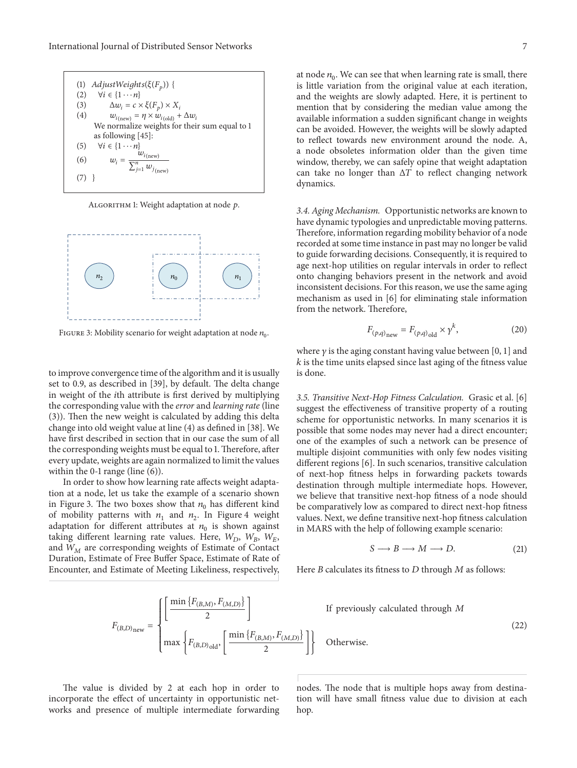

ALGORITHM 1: Weight adaptation at node  $p$ .



FIGURE 3: Mobility scenario for weight adaptation at node  $n_{0}$ .

to improve convergence time of the algorithm and it is usually set to 0.9, as described in [39], by default. The delta change in weight of the *i*th attribute is first derived by multiplying the corresponding value with the error and learning rate (line (3)). Then the new weight is calculated by adding this delta change into old weight value at line (4) as defined in [38]. We have first described in section that in our case the sum of all the corresponding weights must be equal to 1. Therefore, after every update, weights are again normalized to limit the values within the 0-1 range (line  $(6)$ ).

In order to show how learning rate affects weight adaptation at a node, let us take the example of a scenario shown in Figure 3. The two boxes show that  $n_0$  has different kind of mobility patterns with  $n_1$  and  $n_2$ . In Figure 4 weight adaptation for different attributes at  $n_0$  is shown against taking different learning rate values. Here,  $W_D, W_B, W_E$ , and  $W_M$  are corresponding weights of Estimate of Contact Duration, Estimate of Free Buffer Space, Estimate of Rate of Encounter, and Estimate of Meeting Likeliness, respectively,

at node  $n_0$ . We can see that when learning rate is small, there is little variation from the original value at each iteration, and the weights are slowly adapted. Here, it is pertinent to mention that by considering the median value among the available information a sudden significant change in weights can be avoided. However, the weights will be slowly adapted to reflect towards new environment around the node. A, a node obsoletes information older than the given time window, thereby, we can safely opine that weight adaptation can take no longer than  $\Delta T$  to reflect changing network dynamics.

3.4. Aging Mechanism. Opportunistic networks are known to have dynamic typologies and unpredictable moving patterns. Therefore, information regarding mobility behavior of a node recorded at some time instance in past may no longer be valid to guide forwarding decisions. Consequently, it is required to age next-hop utilities on regular intervals in order to reflect onto changing behaviors present in the network and avoid inconsistent decisions. For this reason, we use the same aging mechanism as used in [6] for eliminating stale information from the network. Therefore,

$$
F_{(p,q)_{\text{new}}} = F_{(p,q)_{\text{old}}} \times \gamma^k,\tag{20}
$$

where  $\gamma$  is the aging constant having value between [0, 1] and  $k$  is the time units elapsed since last aging of the fitness value is done.

3.5. Transitive Next-Hop Fitness Calculation. Grasic et al. [6] suggest the effectiveness of transitive property of a routing scheme for opportunistic networks. In many scenarios it is possible that some nodes may never had a direct encounter; one of the examples of such a network can be presence of multiple disjoint communities with only few nodes visiting different regions [6]. In such scenarios, transitive calculation of next-hop fitness helps in forwarding packets towards destination through multiple intermediate hops. However, we believe that transitive next-hop fitness of a node should be comparatively low as compared to direct next-hop fitness values. Next, we define transitive next-hop fitness calculation in MARS with the help of following example scenario:

$$
S \longrightarrow B \longrightarrow M \longrightarrow D. \tag{21}
$$

Here  $B$  calculates its fitness to  $D$  through  $M$  as follows:

$$
F_{(B,D)_{\text{new}}} = \begin{cases} \left[ \frac{\min \{ F_{(B,M)}, F_{(M,D)} \}}{2} \right] & \text{if previously calculated through } M\\ \max \left\{ F_{(B,D)_{\text{old}}}, \left[ \frac{\min \{ F_{(B,M)}, F_{(M,D)} \}}{2} \right] \right\} & \text{Otherwise.} \end{cases}
$$
(22)

The value is divided by 2 at each hop in order to incorporate the effect of uncertainty in opportunistic networks and presence of multiple intermediate forwarding nodes. The node that is multiple hops away from destination will have small fitness value due to division at each hop.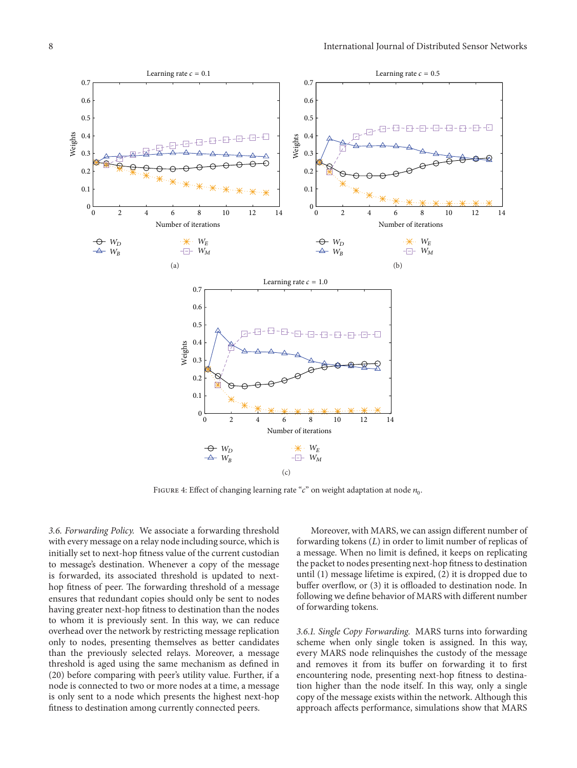

FIGURE 4: Effect of changing learning rate " $c$ " on weight adaptation at node  $n_{0}$ .

3.6. Forwarding Policy. We associate a forwarding threshold with every message on a relay node including source, which is initially set to next-hop fitness value of the current custodian to message's destination. Whenever a copy of the message is forwarded, its associated threshold is updated to nexthop fitness of peer. The forwarding threshold of a message ensures that redundant copies should only be sent to nodes having greater next-hop fitness to destination than the nodes to whom it is previously sent. In this way, we can reduce overhead over the network by restricting message replication only to nodes, presenting themselves as better candidates than the previously selected relays. Moreover, a message threshold is aged using the same mechanism as defined in (20) before comparing with peer's utility value. Further, if a node is connected to two or more nodes at a time, a message is only sent to a node which presents the highest next-hop fitness to destination among currently connected peers.

Moreover, with MARS, we can assign different number of forwarding tokens  $(L)$  in order to limit number of replicas of a message. When no limit is defined, it keeps on replicating the packet to nodes presenting next-hop fitness to destination until (1) message lifetime is expired, (2) it is dropped due to buffer overflow, or (3) it is offloaded to destination node. In following we define behavior of MARS with different number of forwarding tokens.

3.6.1. Single Copy Forwarding. MARS turns into forwarding scheme when only single token is assigned. In this way, every MARS node relinquishes the custody of the message and removes it from its buffer on forwarding it to first encountering node, presenting next-hop fitness to destination higher than the node itself. In this way, only a single copy of the message exists within the network. Although this approach affects performance, simulations show that MARS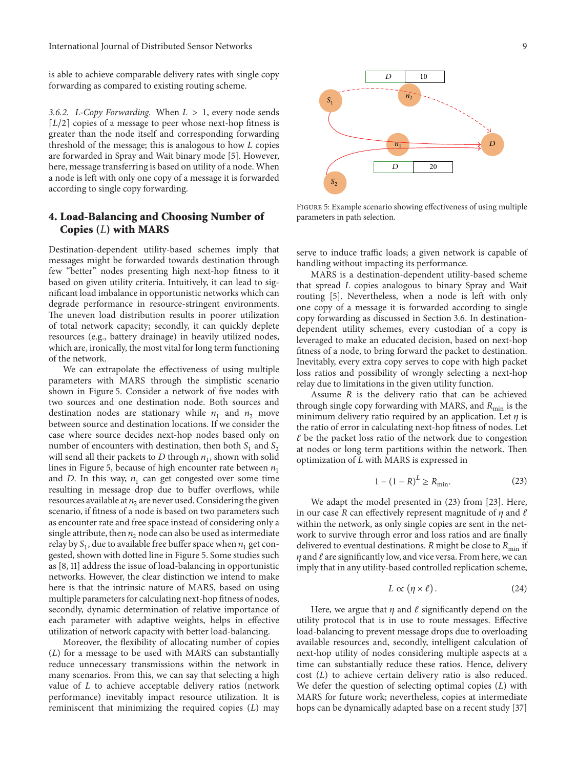is able to achieve comparable delivery rates with single copy forwarding as compared to existing routing scheme.

3.6.2. L-Copy Forwarding. When  $L > 1$ , every node sends  $[L/2]$  copies of a message to peer whose next-hop fitness is greater than the node itself and corresponding forwarding threshold of the message; this is analogous to how  $L$  copies are forwarded in Spray and Wait binary mode [5]. However, here, message transferring is based on utility of a node. When a node is left with only one copy of a message it is forwarded according to single copy forwarding.

## 4. Load-Balancing and Choosing Number of Copies  $(L)$  with MARS

Destination-dependent utility-based schemes imply that messages might be forwarded towards destination through few "better" nodes presenting high next-hop fitness to it based on given utility criteria. Intuitively, it can lead to significant load imbalance in opportunistic networks which can degrade performance in resource-stringent environments. The uneven load distribution results in poorer utilization of total network capacity; secondly, it can quickly deplete resources (e.g., battery drainage) in heavily utilized nodes, which are, ironically, the most vital for long term functioning of the network.

We can extrapolate the effectiveness of using multiple parameters with MARS through the simplistic scenario shown in Figure 5. Consider a network of five nodes with two sources and one destination node. Both sources and destination nodes are stationary while  $n_1$  and  $n_2$  move between source and destination locations. If we consider the case where source decides next-hop nodes based only on number of encounters with destination, then both  $S_1$  and  $S_2$ will send all their packets to  $D$  through  $n_1$ , shown with solid lines in Figure 5, because of high encounter rate between  $n_1$ and D. In this way,  $n_1$  can get congested over some time resulting in message drop due to buffer overflows, while resources available at  $n_2$  are never used. Considering the given scenario, if fitness of a node is based on two parameters such as encounter rate and free space instead of considering only a single attribute, then  $n_2$  node can also be used as intermediate relay by  $S_1$ , due to available free buffer space when  $n_1$  get congested, shown with dotted line in Figure 5. Some studies such as [8, 11] address the issue of load-balancing in opportunistic networks. However, the clear distinction we intend to make here is that the intrinsic nature of MARS, based on using multiple parameters for calculating next-hop fitness of nodes, secondly, dynamic determination of relative importance of each parameter with adaptive weights, helps in effective utilization of network capacity with better load-balancing.

Moreover, the flexibility of allocating number of copies  $(L)$  for a message to be used with MARS can substantially reduce unnecessary transmissions within the network in many scenarios. From this, we can say that selecting a high value of  $L$  to achieve acceptable delivery ratios (network performance) inevitably impact resource utilization. It is reminiscent that minimizing the required copies  $(L)$  may



Figure 5: Example scenario showing effectiveness of using multiple parameters in path selection.

serve to induce traffic loads; a given network is capable of handling without impacting its performance.

MARS is a destination-dependent utility-based scheme that spread  $L$  copies analogous to binary Spray and Wait routing [5]. Nevertheless, when a node is left with only one copy of a message it is forwarded according to single copy forwarding as discussed in Section 3.6. In destinationdependent utility schemes, every custodian of a copy is leveraged to make an educated decision, based on next-hop fitness of a node, to bring forward the packet to destination. Inevitably, every extra copy serves to cope with high packet loss ratios and possibility of wrongly selecting a next-hop relay due to limitations in the given utility function.

Assume  $R$  is the delivery ratio that can be achieved through single copy forwarding with MARS, and  $R_{\text{min}}$  is the minimum delivery ratio required by an application. Let  $\eta$  is the ratio of error in calculating next-hop fitness of nodes. Let  $\ell$  be the packet loss ratio of the network due to congestion at nodes or long term partitions within the network. Then optimization of  $L$  with MARS is expressed in

$$
1 - (1 - R)^L \ge R_{\min}.
$$
 (23)

We adapt the model presented in (23) from [23]. Here, in our case  $R$  can effectively represent magnitude of  $\eta$  and  $\ell$ within the network, as only single copies are sent in the network to survive through error and loss ratios and are finally delivered to eventual destinations.  $R$  might be close to  $R_{\text{min}}$  if  $\eta$  and  $\ell$  are significantly low, and vice versa. From here, we can imply that in any utility-based controlled replication scheme,

$$
L \propto (\eta \times \ell). \tag{24}
$$

Here, we argue that  $\eta$  and  $\ell$  significantly depend on the utility protocol that is in use to route messages. Effective load-balancing to prevent message drops due to overloading available resources and, secondly, intelligent calculation of next-hop utility of nodes considering multiple aspects at a time can substantially reduce these ratios. Hence, delivery  $cost (L)$  to achieve certain delivery ratio is also reduced. We defer the question of selecting optimal copies  $(L)$  with MARS for future work; nevertheless, copies at intermediate hops can be dynamically adapted base on a recent study [37]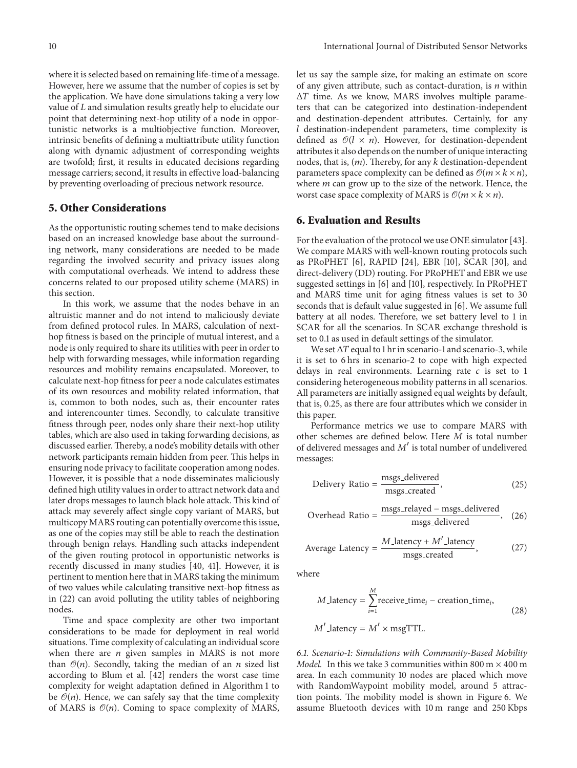where it is selected based on remaining life-time of a message. However, here we assume that the number of copies is set by the application. We have done simulations taking a very low value of  $L$  and simulation results greatly help to elucidate our point that determining next-hop utility of a node in opportunistic networks is a multiobjective function. Moreover, intrinsic benefits of defining a multiattribute utility function along with dynamic adjustment of corresponding weights are twofold; first, it results in educated decisions regarding message carriers; second, it results in effective load-balancing by preventing overloading of precious network resource.

## 5. Other Considerations

As the opportunistic routing schemes tend to make decisions based on an increased knowledge base about the surrounding network, many considerations are needed to be made regarding the involved security and privacy issues along with computational overheads. We intend to address these concerns related to our proposed utility scheme (MARS) in this section.

In this work, we assume that the nodes behave in an altruistic manner and do not intend to maliciously deviate from defined protocol rules. In MARS, calculation of nexthop fitness is based on the principle of mutual interest, and a node is only required to share its utilities with peer in order to help with forwarding messages, while information regarding resources and mobility remains encapsulated. Moreover, to calculate next-hop fitness for peer a node calculates estimates of its own resources and mobility related information, that is, common to both nodes, such as, their encounter rates and interencounter times. Secondly, to calculate transitive fitness through peer, nodes only share their next-hop utility tables, which are also used in taking forwarding decisions, as discussed earlier.Thereby, a node's mobility details with other network participants remain hidden from peer. This helps in ensuring node privacy to facilitate cooperation among nodes. However, it is possible that a node disseminates maliciously defined high utility values in order to attract network data and later drops messages to launch black hole attack. This kind of attack may severely affect single copy variant of MARS, but multicopy MARS routing can potentially overcome this issue, as one of the copies may still be able to reach the destination through benign relays. Handling such attacks independent of the given routing protocol in opportunistic networks is recently discussed in many studies [40, 41]. However, it is pertinent to mention here that in MARS taking the minimum of two values while calculating transitive next-hop fitness as in (22) can avoid polluting the utility tables of neighboring nodes.

Time and space complexity are other two important considerations to be made for deployment in real world situations. Time complexity of calculating an individual score when there are  $n$  given samples in MARS is not more than  $O(n)$ . Secondly, taking the median of an  $n$  sized list according to Blum et al. [42] renders the worst case time complexity for weight adaptation defined in Algorithm 1 to be  $\mathcal{O}(n)$ . Hence, we can safely say that the time complexity of MARS is  $\mathcal{O}(n)$ . Coming to space complexity of MARS,

let us say the sample size, for making an estimate on score of any given attribute, such as contact-duration, is  $n$  within  $\Delta T$  time. As we know, MARS involves multiple parameters that can be categorized into destination-independent and destination-dependent attributes. Certainly, for any destination-independent parameters, time complexity is defined as  $\mathcal{O}(l \times n)$ . However, for destination-dependent attributes it also depends on the number of unique interacting nodes, that is,  $(m)$ . Thereby, for any  $k$  destination-dependent parameters space complexity can be defined as  $\mathcal{O}(m \times k \times n)$ , where  $m$  can grow up to the size of the network. Hence, the worst case space complexity of MARS is  $\mathcal{O}(m \times k \times n)$ .

## 6. Evaluation and Results

For the evaluation of the protocol we use ONE simulator [43]. We compare MARS with well-known routing protocols such as PRoPHET [6], RAPID [24], EBR [10], SCAR [30], and direct-delivery (DD) routing. For PRoPHET and EBR we use suggested settings in [6] and [10], respectively. In PRoPHET and MARS time unit for aging fitness values is set to 30 seconds that is default value suggested in [6]. We assume full battery at all nodes. Therefore, we set battery level to 1 in SCAR for all the scenarios. In SCAR exchange threshold is set to 0.1 as used in default settings of the simulator.

We set  $\Delta T$  equal to 1 hr in scenario-1 and scenario-3, while it is set to 6 hrs in scenario-2 to cope with high expected delays in real environments. Learning rate  $c$  is set to 1 considering heterogeneous mobility patterns in all scenarios. All parameters are initially assigned equal weights by default, that is, 0.25, as there are four attributes which we consider in this paper.

Performance metrics we use to compare MARS with other schemes are defined below. Here  $M$  is total number of delivered messages and  $M^\prime$  is total number of undelivered messages:

$$
Delivery Ratio = \frac{msgs\_delivered}{msgs\_created},\tag{25}
$$

Overhead Ratio = 
$$
\frac{\text{msgs\_relayed - msgs\_delivered}}{\text{msgs\_delivered}}, \quad (26)
$$

Average Latency = 
$$
\frac{M \cdot \text{latency} + M' \cdot \text{latency}}{\text{msgs\_created}},
$$
 (27)

where

$$
M\_\text{latency} = \sum_{i=1}^{M} \text{receive\_time}_i - \text{creation\_time}_i,
$$
\n
$$
M'\_\text{latency} = M' \times \text{msgTTL}.
$$
\n(28)

6.1. Scenario-1: Simulations with Community-Based Mobility *Model.* In this we take 3 communities within 800 m  $\times$  400 m area. In each community 10 nodes are placed which move with RandomWaypoint mobility model, around 5 attraction points. The mobility model is shown in Figure 6. We assume Bluetooth devices with 10 m range and 250 Kbps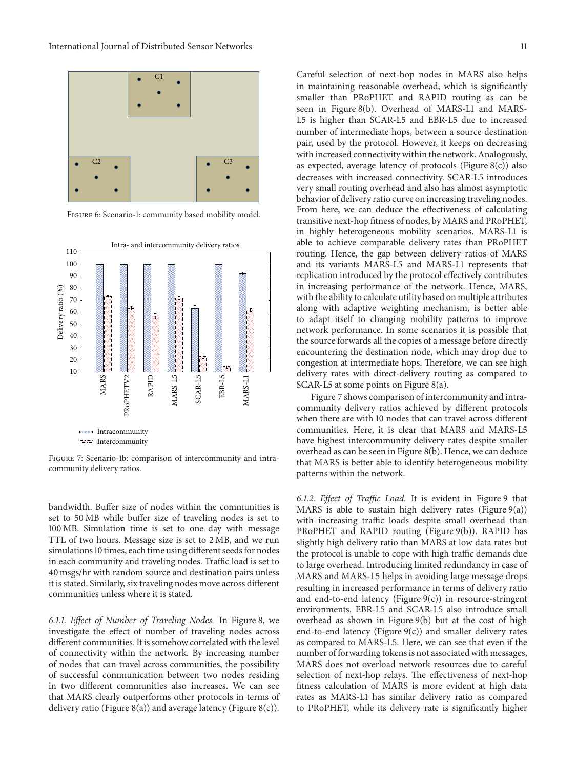

Figure 6: Scenario-1: community based mobility model.



Figure 7: Scenario-1b: comparison of intercommunity and intracommunity delivery ratios.

bandwidth. Buffer size of nodes within the communities is set to 50 MB while buffer size of traveling nodes is set to 100 MB. Simulation time is set to one day with message TTL of two hours. Message size is set to 2 MB, and we run simulations 10 times, each time using different seeds for nodes in each community and traveling nodes. Traffic load is set to 40 msgs/hr with random source and destination pairs unless it is stated. Similarly, six traveling nodes move across different communities unless where it is stated.

6.1.1. Effect of Number of Traveling Nodes. In Figure 8, we investigate the effect of number of traveling nodes across different communities. It is somehow correlated with the level of connectivity within the network. By increasing number of nodes that can travel across communities, the possibility of successful communication between two nodes residing in two different communities also increases. We can see that MARS clearly outperforms other protocols in terms of delivery ratio (Figure 8(a)) and average latency (Figure 8(c)).

Careful selection of next-hop nodes in MARS also helps in maintaining reasonable overhead, which is significantly smaller than PRoPHET and RAPID routing as can be seen in Figure 8(b). Overhead of MARS-L1 and MARS-L5 is higher than SCAR-L5 and EBR-L5 due to increased number of intermediate hops, between a source destination pair, used by the protocol. However, it keeps on decreasing with increased connectivity within the network. Analogously, as expected, average latency of protocols (Figure  $8(c)$ ) also decreases with increased connectivity. SCAR-L5 introduces very small routing overhead and also has almost asymptotic behavior of delivery ratio curve on increasing traveling nodes. From here, we can deduce the effectiveness of calculating transitive next-hop fitness of nodes, by MARS and PRoPHET, in highly heterogeneous mobility scenarios. MARS-L1 is able to achieve comparable delivery rates than PRoPHET routing. Hence, the gap between delivery ratios of MARS and its variants MARS-L5 and MARS-L1 represents that replication introduced by the protocol effectively contributes in increasing performance of the network. Hence, MARS, with the ability to calculate utility based on multiple attributes along with adaptive weighting mechanism, is better able to adapt itself to changing mobility patterns to improve network performance. In some scenarios it is possible that the source forwards all the copies of a message before directly encountering the destination node, which may drop due to congestion at intermediate hops. Therefore, we can see high delivery rates with direct-delivery routing as compared to SCAR-L5 at some points on Figure 8(a).

Figure 7 shows comparison of intercommunity and intracommunity delivery ratios achieved by different protocols when there are with 10 nodes that can travel across different communities. Here, it is clear that MARS and MARS-L5 have highest intercommunity delivery rates despite smaller overhead as can be seen in Figure 8(b). Hence, we can deduce that MARS is better able to identify heterogeneous mobility patterns within the network.

6.1.2. Effect of Traffic Load. It is evident in Figure 9 that MARS is able to sustain high delivery rates (Figure 9(a)) with increasing traffic loads despite small overhead than PRoPHET and RAPID routing (Figure 9(b)). RAPID has slightly high delivery ratio than MARS at low data rates but the protocol is unable to cope with high traffic demands due to large overhead. Introducing limited redundancy in case of MARS and MARS-L5 helps in avoiding large message drops resulting in increased performance in terms of delivery ratio and end-to-end latency (Figure  $9(c)$ ) in resource-stringent environments. EBR-L5 and SCAR-L5 also introduce small overhead as shown in Figure 9(b) but at the cost of high end-to-end latency (Figure  $9(c)$ ) and smaller delivery rates as compared to MARS-L5. Here, we can see that even if the number of forwarding tokens is not associated with messages, MARS does not overload network resources due to careful selection of next-hop relays. The effectiveness of next-hop fitness calculation of MARS is more evident at high data rates as MARS-L1 has similar delivery ratio as compared to PRoPHET, while its delivery rate is significantly higher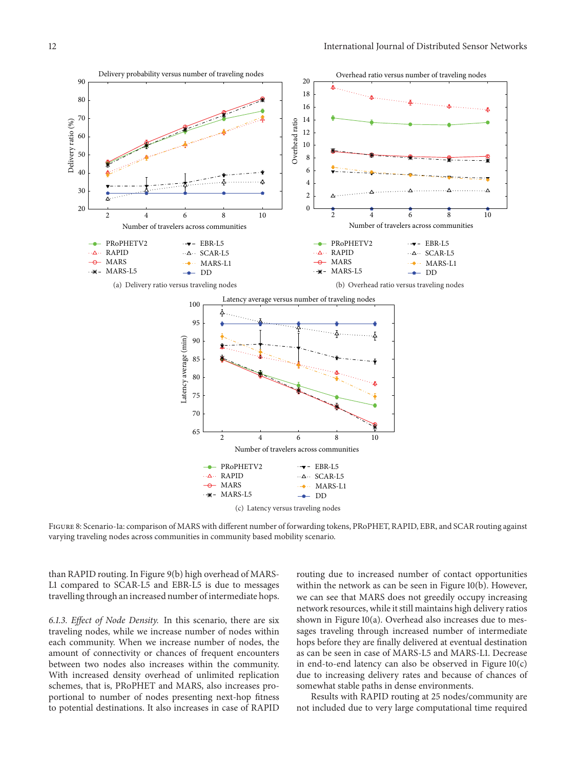

Figure 8: Scenario-1a: comparison of MARS with different number of forwarding tokens, PRoPHET, RAPID, EBR, and SCAR routing against varying traveling nodes across communities in community based mobility scenario.

than RAPID routing. In Figure 9(b) high overhead of MARS-L1 compared to SCAR-L5 and EBR-L5 is due to messages travelling through an increased number of intermediate hops.

6.1.3. Effect of Node Density. In this scenario, there are six traveling nodes, while we increase number of nodes within each community. When we increase number of nodes, the amount of connectivity or chances of frequent encounters between two nodes also increases within the community. With increased density overhead of unlimited replication schemes, that is, PRoPHET and MARS, also increases proportional to number of nodes presenting next-hop fitness to potential destinations. It also increases in case of RAPID routing due to increased number of contact opportunities within the network as can be seen in Figure 10(b). However, we can see that MARS does not greedily occupy increasing network resources, while it still maintains high delivery ratios shown in Figure 10(a). Overhead also increases due to messages traveling through increased number of intermediate hops before they are finally delivered at eventual destination as can be seen in case of MARS-L5 and MARS-L1. Decrease in end-to-end latency can also be observed in Figure 10(c) due to increasing delivery rates and because of chances of somewhat stable paths in dense environments.

Results with RAPID routing at 25 nodes/community are not included due to very large computational time required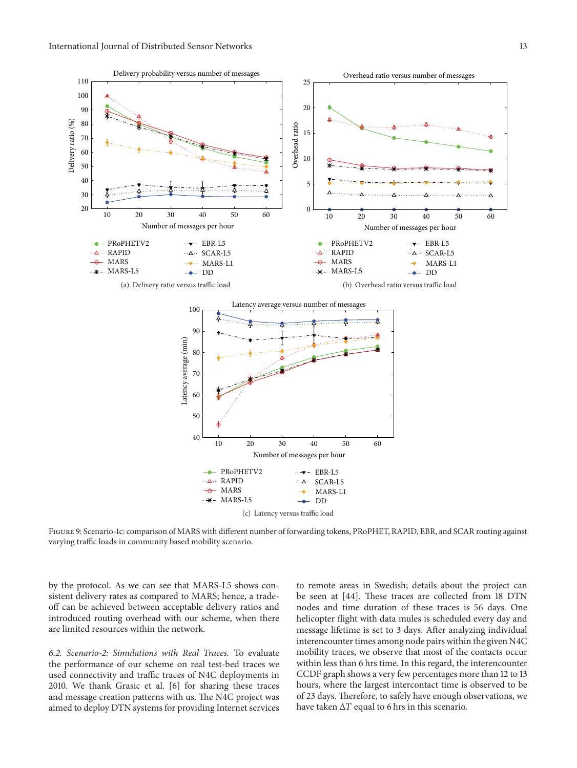

FIGURE 9: Scenario-1c: comparison of MARS with different number of forwarding tokens, PRoPHET, RAPID, EBR, and SCAR routing against varying traffic loads in community based mobility scenario.

by the protocol. As we can see that MARS-L5 shows consistent delivery rates as compared to MARS; hence, a tradeoff can be achieved between acceptable delivery ratios and introduced routing overhead with our scheme, when there are limited resources within the network.

6.2. Scenario-2: Simulations with Real Traces. To evaluate the performance of our scheme on real test-bed traces we used connectivity and traffic traces of N4C deployments in 2010. We thank Grasic et al. [6] for sharing these traces and message creation patterns with us. The N4C project was aimed to deploy DTN systems for providing Internet services to remote areas in Swedish; details about the project can be seen at [44]. These traces are collected from 18 DTN nodes and time duration of these traces is 56 days. One helicopter flight with data mules is scheduled every day and message lifetime is set to 3 days. After analyzing individual interencounter times among node pairs within the given N4C mobility traces, we observe that most of the contacts occur within less than 6 hrs time. In this regard, the interencounter CCDF graph shows a very few percentages more than 12 to 13 hours, where the largest intercontact time is observed to be of 23 days. Therefore, to safely have enough observations, we have taken  $\Delta T$  equal to 6 hrs in this scenario.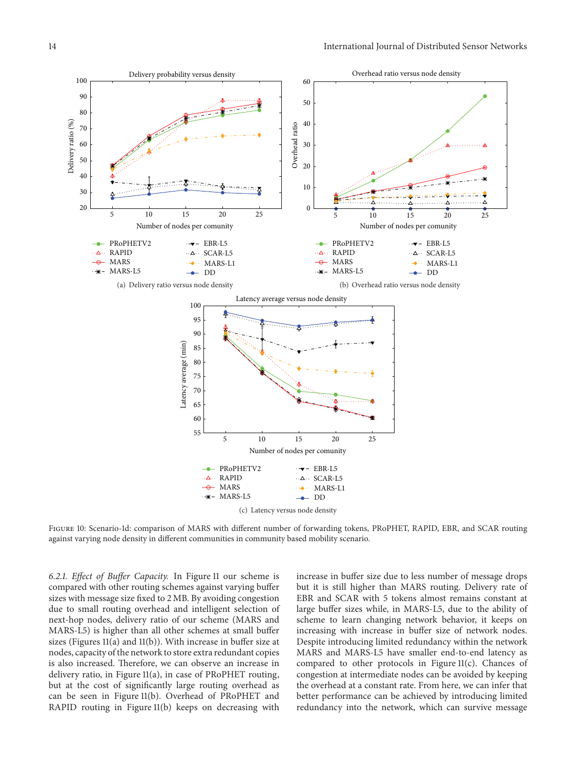

Figure 10: Scenario-1d: comparison of MARS with different number of forwarding tokens, PRoPHET, RAPID, EBR, and SCAR routing against varying node density in different communities in community based mobility scenario.

6.2.1. Effect of Buffer Capacity. In Figure 11 our scheme is compared with other routing schemes against varying buffer sizes with message size fixed to 2 MB. By avoiding congestion due to small routing overhead and intelligent selection of next-hop nodes, delivery ratio of our scheme (MARS and MARS-L5) is higher than all other schemes at small buffer sizes (Figures 11(a) and 11(b)). With increase in buffer size at nodes, capacity of the network to store extra redundant copies is also increased. Therefore, we can observe an increase in delivery ratio, in Figure 11(a), in case of PRoPHET routing, but at the cost of significantly large routing overhead as can be seen in Figure 11(b). Overhead of PRoPHET and RAPID routing in Figure 11(b) keeps on decreasing with

increase in buffer size due to less number of message drops but it is still higher than MARS routing. Delivery rate of EBR and SCAR with 5 tokens almost remains constant at large buffer sizes while, in MARS-L5, due to the ability of scheme to learn changing network behavior, it keeps on increasing with increase in buffer size of network nodes. Despite introducing limited redundancy within the network MARS and MARS-L5 have smaller end-to-end latency as compared to other protocols in Figure 11(c). Chances of congestion at intermediate nodes can be avoided by keeping the overhead at a constant rate. From here, we can infer that better performance can be achieved by introducing limited redundancy into the network, which can survive message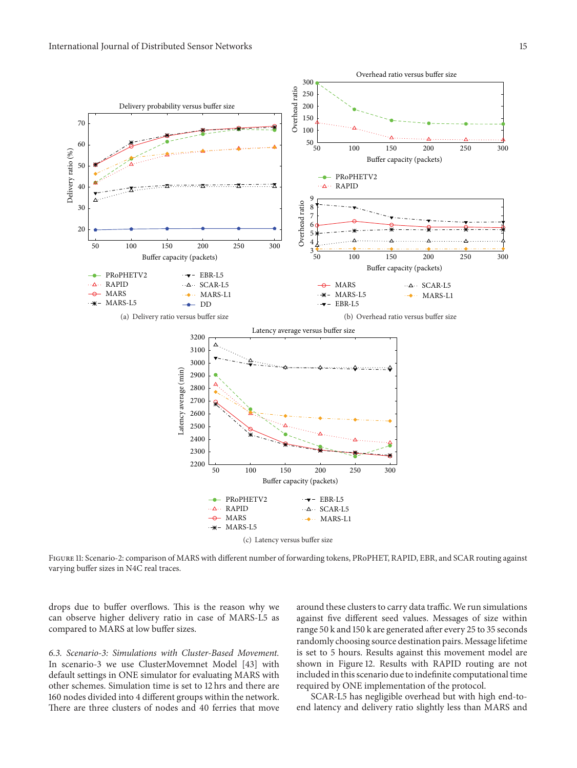

FIGURE 11: Scenario-2: comparison of MARS with different number of forwarding tokens, PROPHET, RAPID, EBR, and SCAR routing against varying buffer sizes in N4C real traces.

drops due to buffer overflows. This is the reason why we can observe higher delivery ratio in case of MARS-L5 as compared to MARS at low buffer sizes.

6.3. Scenario-3: Simulations with Cluster-Based Movement. In scenario-3 we use ClusterMovemnet Model [43] with default settings in ONE simulator for evaluating MARS with other schemes. Simulation time is set to 12 hrs and there are 160 nodes divided into 4 different groups within the network. There are three clusters of nodes and 40 ferries that move

around these clusters to carry data traffic. We run simulations against five different seed values. Messages of size within range 50 k and 150 k are generated after every 25 to 35 seconds randomly choosing source destination pairs. Message lifetime is set to 5 hours. Results against this movement model are shown in Figure 12. Results with RAPID routing are not included in this scenario due to indefinite computational time required by ONE implementation of the protocol.

SCAR-L5 has negligible overhead but with high end-toend latency and delivery ratio slightly less than MARS and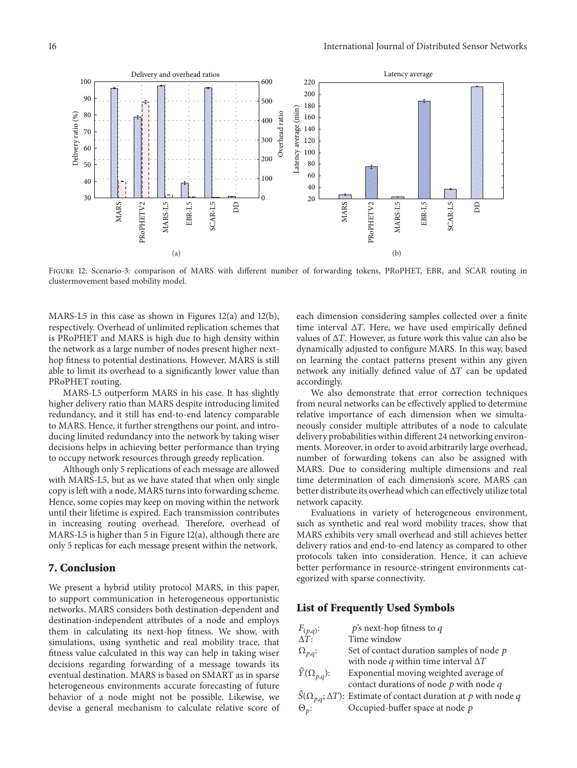

FIGURE 12: Scenario-3: comparison of MARS with different number of forwarding tokens, PRoPHET, EBR, and SCAR routing in clustermovement based mobility model.

MARS-L5 in this case as shown in Figures 12(a) and 12(b), respectively. Overhead of unlimited replication schemes that is PRoPHET and MARS is high due to high density within the network as a large number of nodes present higher nexthop fitness to potential destinations. However, MARS is still able to limit its overhead to a significantly lower value than PRoPHET routing.

MARS-L5 outperform MARS in his case. It has slightly higher delivery ratio than MARS despite introducing limited redundancy, and it still has end-to-end latency comparable to MARS. Hence, it further strengthens our point, and introducing limited redundancy into the network by taking wiser decisions helps in achieving better performance than trying to occupy network resources through greedy replication.

Although only 5 replications of each message are allowed with MARS-L5, but as we have stated that when only single copy is left with a node, MARS turns into forwarding scheme. Hence, some copies may keep on moving within the network until their lifetime is expired. Each transmission contributes in increasing routing overhead. Therefore, overhead of MARS-L5 is higher than 5 in Figure 12(a), although there are only 5 replicas for each message present within the network.

## 7. Conclusion

We present a hybrid utility protocol MARS, in this paper, to support communication in heterogeneous opportunistic networks. MARS considers both destination-dependent and destination-independent attributes of a node and employs them in calculating its next-hop fitness. We show, with simulations, using synthetic and real mobility trace, that fitness value calculated in this way can help in taking wiser decisions regarding forwarding of a message towards its eventual destination. MARS is based on SMART as in sparse heterogeneous environments accurate forecasting of future behavior of a node might not be possible. Likewise, we devise a general mechanism to calculate relative score of each dimension considering samples collected over a finite time interval  $\Delta T$ . Here, we have used empirically defined values of  $\Delta T$ . However, as future work this value can also be dynamically adjusted to configure MARS. In this way, based on learning the contact patterns present within any given network any initially defined value of  $\Delta T$  can be updated accordingly.

We also demonstrate that error correction techniques from neural networks can be effectively applied to determine relative importance of each dimension when we simultaneously consider multiple attributes of a node to calculate delivery probabilities within different 24 networking environments. Moreover, in order to avoid arbitrarily large overhead, number of forwarding tokens can also be assigned with MARS. Due to considering multiple dimensions and real time determination of each dimension's score, MARS can better distribute its overhead which can effectively utilize total network capacity.

Evaluations in variety of heterogeneous environment, such as synthetic and real word mobility traces, show that MARS exhibits very small overhead and still achieves better delivery ratios and end-to-end latency as compared to other protocols taken into consideration. Hence, it can achieve better performance in resource-stringent environments categorized with sparse connectivity.

#### List of Frequently Used Symbols

| $F_{(p,q)}$ :<br>$\Delta T$ : | $p$ 's next-hop fitness to q                                                          |
|-------------------------------|---------------------------------------------------------------------------------------|
|                               | Time window                                                                           |
| $\Omega_{p,q}$ :              | Set of contact duration samples of node $p$                                           |
|                               | with node q within time interval $\Delta T$                                           |
| $\widehat{Y}(\Omega_{p,q})$ : | Exponential moving weighted average of                                                |
|                               | contact durations of node $p$ with node $q$                                           |
|                               | $\widehat{S}(\Omega_{p,q}; \Delta T)$ : Estimate of contact duration at p with node q |
| $\Theta_{p}$ :                | Occupied-buffer space at node $p$                                                     |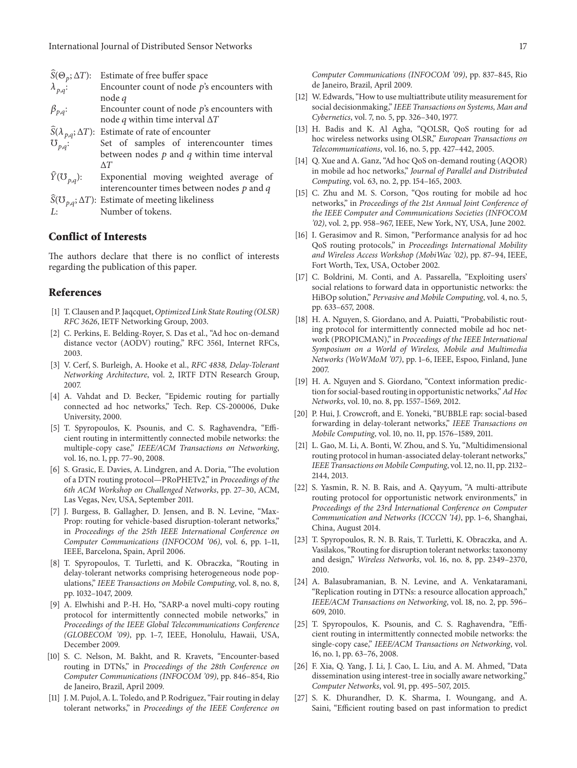| $\widehat{S}(\Theta_p; \Delta T)$ : | Estimate of free buffer space                                          |
|-------------------------------------|------------------------------------------------------------------------|
| $\lambda_{p,q}:$                    | Encounter count of node $p$ 's encounters with                         |
|                                     | node q                                                                 |
| $\beta_{p,q}:$                      | Encounter count of node $p$ 's encounters with                         |
|                                     | node q within time interval $\Delta T$                                 |
|                                     | $\widehat{S}(\lambda_{p,q}; \Delta T)$ : Estimate of rate of encounter |
| $U_{p,q}$ :                         | Set of samples of interencounter times                                 |
|                                     | between nodes $p$ and $q$ within time interval                         |
|                                     | $\Lambda T$                                                            |
| $\widehat{Y}(\mathcal{U}_{p,q})$ :  | Exponential moving weighted average of                                 |
|                                     | interencounter times between nodes $p$ and $q$                         |

 $\widehat{\mathcal{S}}(\mho_{p,q};\Delta T)$ : Estimate of meeting likeliness

: Number of tokens.

## Conflict of Interests

The authors declare that there is no conflict of interests regarding the publication of this paper.

## References

- [1] T. Clausen and P. Jaqcquet, Optimized Link State Routing (OLSR) RFC 3626, IETF Networking Group, 2003.
- [2] C. Perkins, E. Belding-Royer, S. Das et al., "Ad hoc on-demand distance vector (AODV) routing," RFC 3561, Internet RFCs, 2003.
- [3] V. Cerf, S. Burleigh, A. Hooke et al., RFC 4838, Delay-Tolerant Networking Architecture, vol. 2, IRTF DTN Research Group, 2007.
- [4] A. Vahdat and D. Becker, "Epidemic routing for partially connected ad hoc networks," Tech. Rep. CS-200006, Duke University, 2000.
- [5] T. Spyropoulos, K. Psounis, and C. S. Raghavendra, "Efficient routing in intermittently connected mobile networks: the multiple-copy case," IEEE/ACM Transactions on Networking, vol. 16, no. 1, pp. 77–90, 2008.
- [6] S. Grasic, E. Davies, A. Lindgren, and A. Doria, "The evolution of a DTN routing protocol—PRoPHETv2," in Proceedings of the 6th ACM Workshop on Challenged Networks, pp. 27–30, ACM, Las Vegas, Nev, USA, September 2011.
- [7] J. Burgess, B. Gallagher, D. Jensen, and B. N. Levine, "Max-Prop: routing for vehicle-based disruption-tolerant networks," in Proceedings of the 25th IEEE International Conference on Computer Communications (INFOCOM '06), vol. 6, pp. 1–11, IEEE, Barcelona, Spain, April 2006.
- [8] T. Spyropoulos, T. Turletti, and K. Obraczka, "Routing in delay-tolerant networks comprising heterogeneous node populations," IEEE Transactions on Mobile Computing, vol. 8, no. 8, pp. 1032–1047, 2009.
- [9] A. Elwhishi and P.-H. Ho, "SARP-a novel multi-copy routing protocol for intermittently connected mobile networks," in Proceedings of the IEEE Global Telecommunications Conference (GLOBECOM '09), pp. 1–7, IEEE, Honolulu, Hawaii, USA, December 2009.
- [10] S. C. Nelson, M. Bakht, and R. Kravets, "Encounter-based routing in DTNs," in Proceedings of the 28th Conference on Computer Communications (INFOCOM '09), pp. 846–854, Rio de Janeiro, Brazil, April 2009.
- [11] J. M. Pujol, A. L. Toledo, and P. Rodriguez, "Fair routing in delay tolerant networks," in Proceedings of the IEEE Conference on
- [12] W. Edwards, "How to use multiattribute utility measurement for social decisionmaking," IEEE Transactions on Systems, Man and Cybernetics, vol. 7, no. 5, pp. 326–340, 1977.
- [13] H. Badis and K. Al Agha, "QOLSR, QoS routing for ad hoc wireless networks using OLSR," European Transactions on Telecommunications, vol. 16, no. 5, pp. 427–442, 2005.
- [14] Q. Xue and A. Ganz, "Ad hoc QoS on-demand routing (AQOR) in mobile ad hoc networks," Journal of Parallel and Distributed Computing, vol. 63, no. 2, pp. 154–165, 2003.
- [15] C. Zhu and M. S. Corson, "Qos routing for mobile ad hoc networks," in Proceedings of the 21st Annual Joint Conference of the IEEE Computer and Communications Societies (INFOCOM '02), vol. 2, pp. 958–967, IEEE, New York, NY, USA, June 2002.
- [16] I. Gerasimov and R. Simon, "Performance analysis for ad hoc QoS routing protocols," in Proceedings International Mobility and Wireless Access Workshop (MobiWac '02), pp. 87–94, IEEE, Fort Worth, Tex, USA, October 2002.
- [17] C. Boldrini, M. Conti, and A. Passarella, "Exploiting users' social relations to forward data in opportunistic networks: the HiBOp solution," Pervasive and Mobile Computing, vol. 4, no. 5, pp. 633–657, 2008.
- [18] H. A. Nguyen, S. Giordano, and A. Puiatti, "Probabilistic routing protocol for intermittently connected mobile ad hoc network (PROPICMAN)," in Proceedings of the IEEE International Symposium on a World of Wireless, Mobile and Multimedia Networks (WoWMoM '07), pp. 1–6, IEEE, Espoo, Finland, June 2007.
- [19] H. A. Nguyen and S. Giordano, "Context information prediction for social-based routing in opportunistic networks," Ad Hoc Networks, vol. 10, no. 8, pp. 1557–1569, 2012.
- [20] P. Hui, J. Crowcroft, and E. Yoneki, "BUBBLE rap: social-based forwarding in delay-tolerant networks," IEEE Transactions on Mobile Computing, vol. 10, no. 11, pp. 1576–1589, 2011.
- [21] L. Gao, M. Li, A. Bonti, W. Zhou, and S. Yu, "Multidimensional routing protocol in human-associated delay-tolerant networks," IEEE Transactions on Mobile Computing, vol. 12, no. 11, pp. 2132– 2144, 2013.
- [22] S. Yasmin, R. N. B. Rais, and A. Qayyum, "A multi-attribute routing protocol for opportunistic network environments," in Proceedings of the 23rd International Conference on Computer Communication and Networks (ICCCN '14), pp. 1–6, Shanghai, China, August 2014.
- [23] T. Spyropoulos, R. N. B. Rais, T. Turletti, K. Obraczka, and A. Vasilakos, "Routing for disruption tolerant networks: taxonomy and design," Wireless Networks, vol. 16, no. 8, pp. 2349–2370, 2010.
- [24] A. Balasubramanian, B. N. Levine, and A. Venkataramani, "Replication routing in DTNs: a resource allocation approach," IEEE/ACM Transactions on Networking, vol. 18, no. 2, pp. 596– 609, 2010.
- [25] T. Spyropoulos, K. Psounis, and C. S. Raghavendra, "Efficient routing in intermittently connected mobile networks: the single-copy case," IEEE/ACM Transactions on Networking, vol. 16, no. 1, pp. 63–76, 2008.
- [26] F. Xia, Q. Yang, J. Li, J. Cao, L. Liu, and A. M. Ahmed, "Data dissemination using interest-tree in socially aware networking," Computer Networks, vol. 91, pp. 495–507, 2015.
- [27] S. K. Dhurandher, D. K. Sharma, I. Woungang, and A. Saini, "Efficient routing based on past information to predict